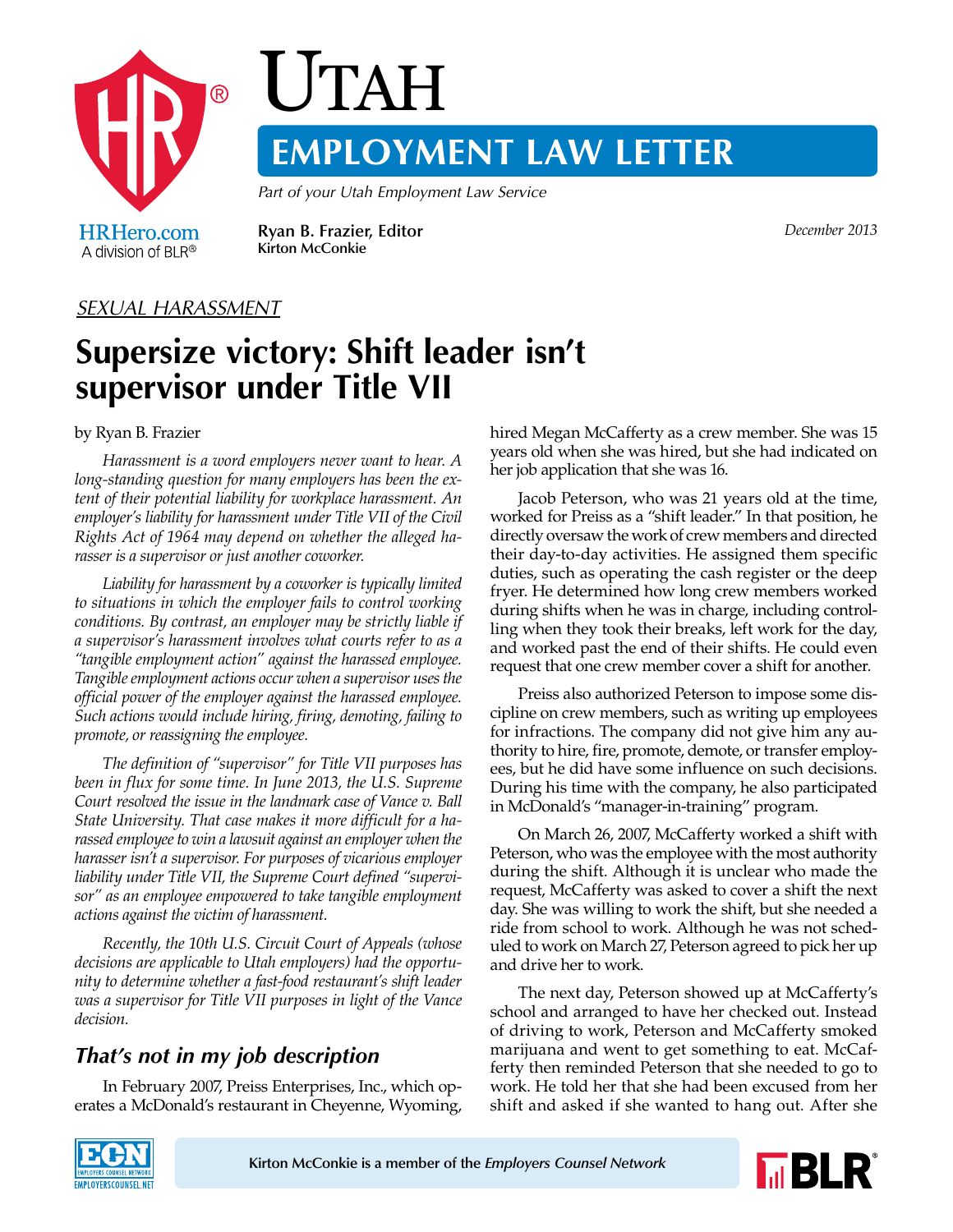

# **UTAH EMPLOYMENT LAW LETTER**

*Part of your Utah Employment Law Service*

A division of  $BLR^{\circledR}$ 

**Ryan B. Frazier, Editor** *December 2013* **Kirton McConkie**

#### *SEXUAL HARASSMENT*

# **Supersize victory: Shift leader isn't supervisor under Title VII**

by Ryan B. Frazier

*Harassment is a word employers never want to hear. A long-standing question for many employers has been the extent of their potential liability for workplace harassment. An employer's liability for harassment under Title VII of the Civil Rights Act of 1964 may depend on whether the alleged harasser is a supervisor or just another coworker.*

*Liability for harassment by a coworker is typically limited to situations in which the employer fails to control working conditions. By contrast, an employer may be strictly liable if a supervisor's harassment involves what courts refer to as a "tangible employment action" against the harassed employee. Tangible employment actions occur when a supervisor uses the official power of the employer against the harassed employee. Such actions would include hiring, firing, demoting, failing to promote, or reassigning the employee.*

*The definition of "supervisor" for Title VII purposes has been in flux for some time. In June 2013, the U.S. Supreme Court resolved the issue in the landmark case of Vance v. Ball State University. That case makes it more difficult for a harassed employee to win a lawsuit against an employer when the harasser isn't a supervisor. For purposes of vicarious employer liability under Title VII, the Supreme Court defined "supervisor" as an employee empowered to take tangible employment actions against the victim of harassment.*

*Recently, the 10th U.S. Circuit Court of Appeals (whose decisions are applicable to Utah employers) had the opportunity to determine whether a fast-food restaurant's shift leader was a supervisor for Title VII purposes in light of the Vance decision.*

## *That's not in my job description*

In February 2007, Preiss Enterprises, Inc., which operates a McDonald's restaurant in Cheyenne, Wyoming, hired Megan McCafferty as a crew member. She was 15 years old when she was hired, but she had indicated on her job application that she was 16.

Jacob Peterson, who was 21 years old at the time, worked for Preiss as a "shift leader." In that position, he directly oversaw the work of crew members and directed their day-to-day activities. He assigned them specific duties, such as operating the cash register or the deep fryer. He determined how long crew members worked during shifts when he was in charge, including controlling when they took their breaks, left work for the day, and worked past the end of their shifts. He could even request that one crew member cover a shift for another.

Preiss also authorized Peterson to impose some discipline on crew members, such as writing up employees for infractions. The company did not give him any authority to hire, fire, promote, demote, or transfer employees, but he did have some influence on such decisions. During his time with the company, he also participated in McDonald's "manager-in-training" program.

On March 26, 2007, McCafferty worked a shift with Peterson, who was the employee with the most authority during the shift. Although it is unclear who made the request, McCafferty was asked to cover a shift the next day. She was willing to work the shift, but she needed a ride from school to work. Although he was not scheduled to work on March 27, Peterson agreed to pick her up and drive her to work.

The next day, Peterson showed up at McCafferty's school and arranged to have her checked out. Instead of driving to work, Peterson and McCafferty smoked marijuana and went to get something to eat. McCafferty then reminded Peterson that she needed to go to work. He told her that she had been excused from her shift and asked if she wanted to hang out. After she



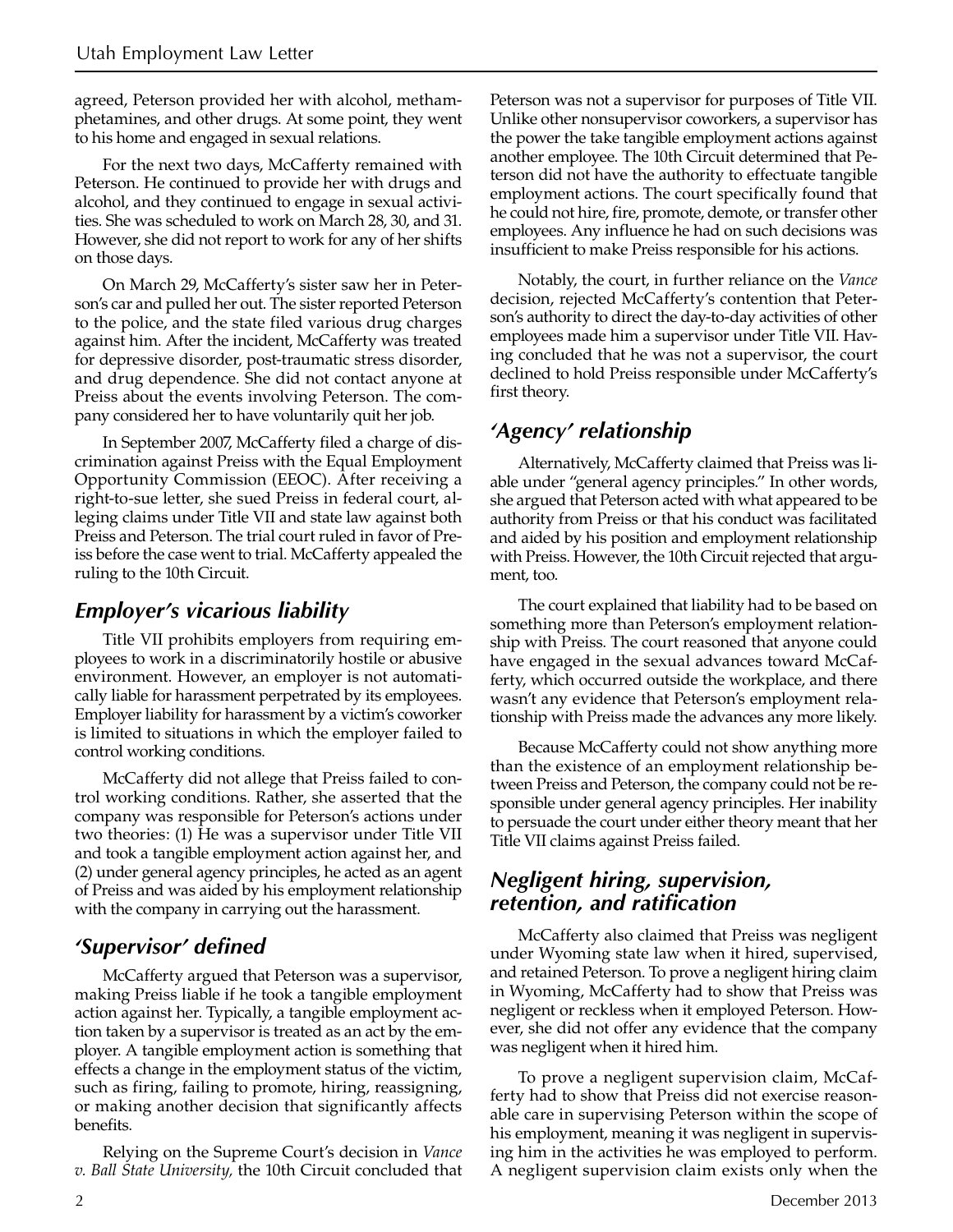agreed, Peterson provided her with alcohol, methamphetamines, and other drugs. At some point, they went to his home and engaged in sexual relations.

For the next two days, McCafferty remained with Peterson. He continued to provide her with drugs and alcohol, and they continued to engage in sexual activities. She was scheduled to work on March 28, 30, and 31. However, she did not report to work for any of her shifts on those days.

On March 29, McCafferty's sister saw her in Peterson's car and pulled her out. The sister reported Peterson to the police, and the state filed various drug charges against him. After the incident, McCafferty was treated for depressive disorder, post-traumatic stress disorder, and drug dependence. She did not contact anyone at Preiss about the events involving Peterson. The company considered her to have voluntarily quit her job.

In September 2007, McCafferty filed a charge of discrimination against Preiss with the Equal Employment Opportunity Commission (EEOC). After receiving a right-to-sue letter, she sued Preiss in federal court, alleging claims under Title VII and state law against both Preiss and Peterson. The trial court ruled in favor of Preiss before the case went to trial. McCafferty appealed the ruling to the 10th Circuit.

#### *Employer's vicarious liability*

Title VII prohibits employers from requiring employees to work in a discriminatorily hostile or abusive environment. However, an employer is not automatically liable for harassment perpetrated by its employees. Employer liability for harassment by a victim's coworker is limited to situations in which the employer failed to control working conditions.

McCafferty did not allege that Preiss failed to control working conditions. Rather, she asserted that the company was responsible for Peterson's actions under two theories: (1) He was a supervisor under Title VII and took a tangible employment action against her, and (2) under general agency principles, he acted as an agent of Preiss and was aided by his employment relationship with the company in carrying out the harassment.

### *'Supervisor' defined*

McCafferty argued that Peterson was a supervisor, making Preiss liable if he took a tangible employment action against her. Typically, a tangible employment action taken by a supervisor is treated as an act by the employer. A tangible employment action is something that effects a change in the employment status of the victim, such as firing, failing to promote, hiring, reassigning, or making another decision that significantly affects benefits.

Relying on the Supreme Court's decision in *Vance v. Ball State University,* the 10th Circuit concluded that Peterson was not a supervisor for purposes of Title VII. Unlike other nonsupervisor coworkers, a supervisor has the power the take tangible employment actions against another employee. The 10th Circuit determined that Peterson did not have the authority to effectuate tangible employment actions. The court specifically found that he could not hire, fire, promote, demote, or transfer other employees. Any influence he had on such decisions was insufficient to make Preiss responsible for his actions.

Notably, the court, in further reliance on the *Vance* decision, rejected McCafferty's contention that Peterson's authority to direct the day-to-day activities of other employees made him a supervisor under Title VII. Having concluded that he was not a supervisor, the court declined to hold Preiss responsible under McCafferty's first theory.

#### *'Agency' relationship*

Alternatively, McCafferty claimed that Preiss was liable under "general agency principles." In other words, she argued that Peterson acted with what appeared to be authority from Preiss or that his conduct was facilitated and aided by his position and employment relationship with Preiss. However, the 10th Circuit rejected that argument, too.

The court explained that liability had to be based on something more than Peterson's employment relationship with Preiss. The court reasoned that anyone could have engaged in the sexual advances toward McCafferty, which occurred outside the workplace, and there wasn't any evidence that Peterson's employment relationship with Preiss made the advances any more likely.

Because McCafferty could not show anything more than the existence of an employment relationship between Preiss and Peterson, the company could not be responsible under general agency principles. Her inability to persuade the court under either theory meant that her Title VII claims against Preiss failed.

#### *Negligent hiring, supervision, retention, and ratification*

McCafferty also claimed that Preiss was negligent under Wyoming state law when it hired, supervised, and retained Peterson. To prove a negligent hiring claim in Wyoming, McCafferty had to show that Preiss was negligent or reckless when it employed Peterson. However, she did not offer any evidence that the company was negligent when it hired him.

To prove a negligent supervision claim, McCafferty had to show that Preiss did not exercise reasonable care in supervising Peterson within the scope of his employment, meaning it was negligent in supervising him in the activities he was employed to perform. A negligent supervision claim exists only when the